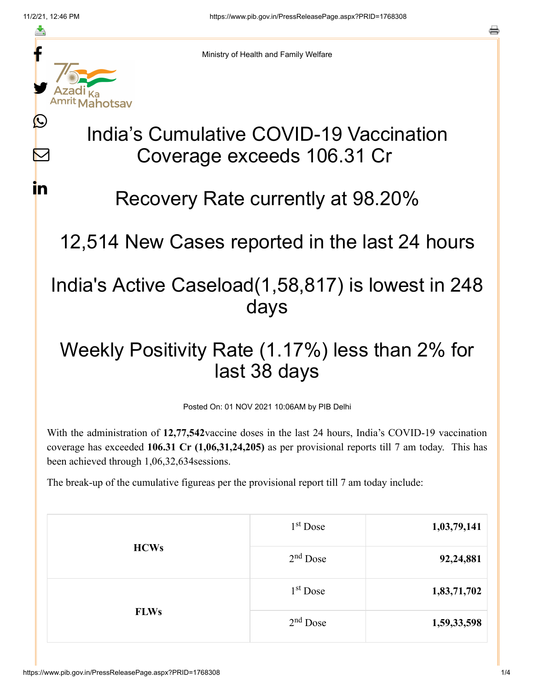≛

 $\boldsymbol{\mathsf{M}}$ 

**i**n



Ministry of Health and Family Welfare

## India's Cumulative COVID-19 Vaccination Coverage exceeds 106.31 Cr

## Recovery Rate currently at 98.20%

12,514 New Cases reported in the last 24 hours

## India's Active Caseload(1,58,817) is lowest in 248 days

## Weekly Positivity Rate (1.17%) less than 2% for last 38 days

Posted On: 01 NOV 2021 10:06AM by PIB Delhi

With the administration of **12,77,542**vaccine doses in the last 24 hours, India's COVID-19 vaccination coverage has exceeded **106.31 Cr (1,06,31,24,205)** as per provisional reports till 7 am today. This has been achieved through 1,06,32,634sessions.

The break-up of the cumulative figureas per the provisional report till 7 am today include:

| <b>HCWs</b> | 1 <sup>st</sup> Dose | 1,03,79,141 |
|-------------|----------------------|-------------|
|             | $2nd$ Dose           | 92,24,881   |
| <b>FLWs</b> | $1st$ Dose           | 1,83,71,702 |
|             | $2nd$ Dose           | 1,59,33,598 |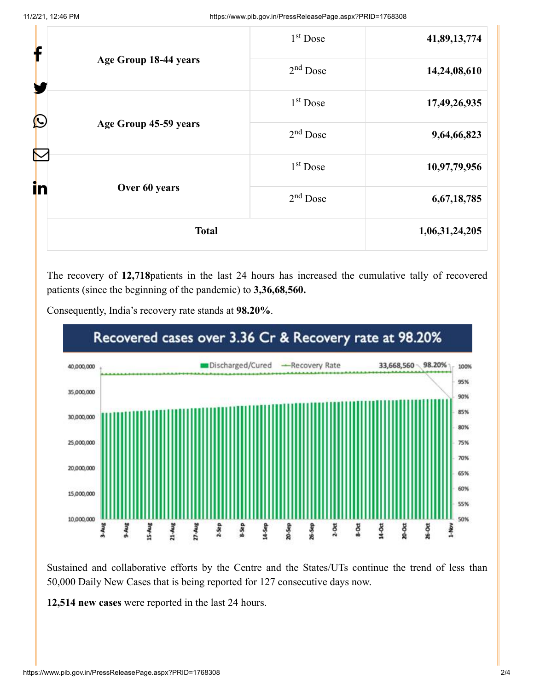| f                     |                       | 1 <sup>st</sup> Dose | 41,89,13,774 |
|-----------------------|-----------------------|----------------------|--------------|
| Age Group 18-44 years | $2nd$ Dose            | 14,24,08,610         |              |
| $\bigcirc$            |                       | $1st$ Dose           | 17,49,26,935 |
|                       | Age Group 45-59 years | $2nd$ Dose           | 9,64,66,823  |
|                       |                       | 1 <sup>st</sup> Dose | 10,97,79,956 |
| in                    | Over 60 years         | $2nd$ Dose           | 6,67,18,785  |
| <b>Total</b>          |                       | 1,06,31,24,205       |              |

The recovery of **12,718**patients in the last 24 hours has increased the cumulative tally of recovered patients (since the beginning of the pandemic) to **3,36,68,560.**



Consequently, India's recovery rate stands at **98.20%**.

Sustained and collaborative efforts by the Centre and the States/UTs continue the trend of less than 50,000 Daily New Cases that is being reported for 127 consecutive days now.

**12,514 new cases** were reported in the last 24 hours.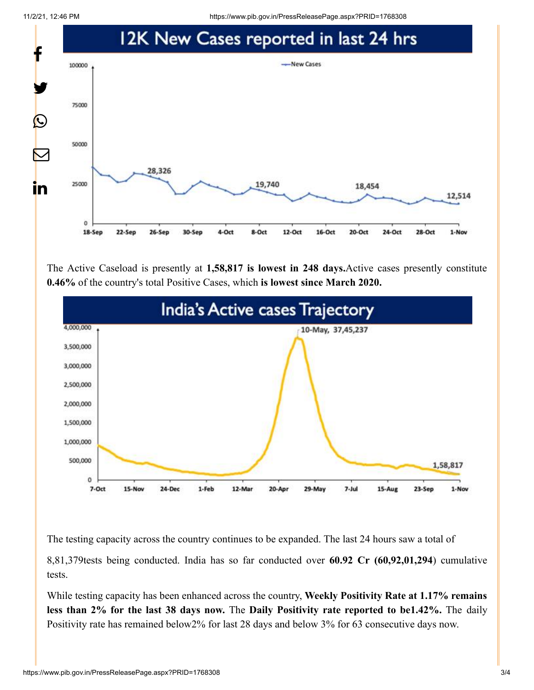11/2/21, 12:46 PM https://www.pib.gov.in/PressReleasePage.aspx?PRID=1768308



The Active Caseload is presently at **1,58,817 is lowest in 248 days.**Active cases presently constitute **0.46%** of the country's total Positive Cases, which **is lowest since March 2020.**



The testing capacity across the country continues to be expanded. The last 24 hours saw a total of

8,81,379tests being conducted. India has so far conducted over **60.92 Cr (60,92,01,294**) cumulative tests.

While testing capacity has been enhanced across the country, **Weekly Positivity Rate at 1.17% remains less than 2% for the last 38 days now.** The **Daily Positivity rate reported to be1.42%.** The daily Positivity rate has remained below2% for last 28 days and below 3% for 63 consecutive days now.